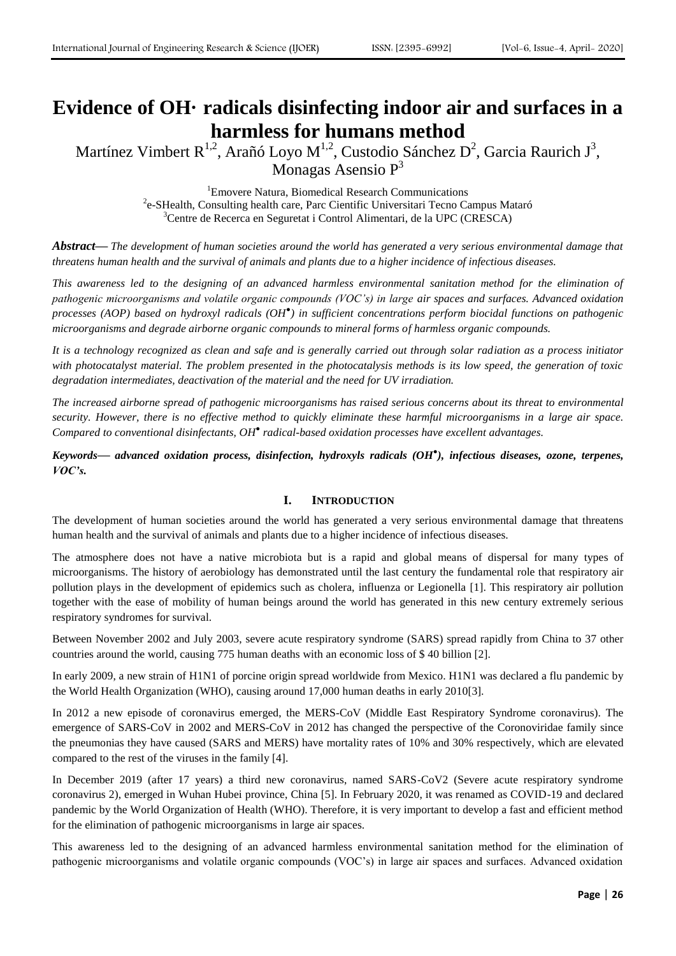# **Evidence of OH· radicals disinfecting indoor air and surfaces in a harmless for humans method**

Martínez Vimbert R<sup>1,2</sup>, Arañó Loyo M<sup>1,2</sup>, Custodio Sánchez D<sup>2</sup>, Garcia Raurich J<sup>3</sup>, Monagas Asensio P<sup>3</sup>

> <sup>1</sup>Emovere Natura, Biomedical Research Communications <sup>2</sup>e-SHealth, Consulting health care, Parc Cientific Universitari Tecno Campus Mataró <sup>3</sup>Centre de Recerca en Seguretat i Control Alimentari, de la UPC (CRESCA)

*Abstract***—** *The development of human societies around the world has generated a very serious environmental damage that threatens human health and the survival of animals and plants due to a higher incidence of infectious diseases.* 

*This awareness led to the designing of an advanced harmless environmental sanitation method for the elimination of pathogenic microorganisms and volatile organic compounds (VOC's) in large air spaces and surfaces. Advanced oxidation processes (AOP) based on hydroxyl radicals (OH● ) in sufficient concentrations perform biocidal functions on pathogenic microorganisms and degrade airborne organic compounds to mineral forms of harmless organic compounds.*

*It is a technology recognized as clean and safe and is generally carried out through solar radiation as a process initiator with photocatalyst material. The problem presented in the photocatalysis methods is its low speed, the generation of toxic degradation intermediates, deactivation of the material and the need for UV irradiation.*

The increased airborne spread of pathogenic microorganisms has raised serious concerns about its threat to environmental security. However, there is no effective method to quickly eliminate these harmful microorganisms in a large air space. *Compared to conventional disinfectants, OH● radical-based oxidation processes have excellent advantages.*

*Keywords***—** *advanced oxidation process, disinfection, hydroxyls radicals (OH● ), infectious diseases, ozone, terpenes, VOC's.*

## **I. INTRODUCTION**

The development of human societies around the world has generated a very serious environmental damage that threatens human health and the survival of animals and plants due to a higher incidence of infectious diseases.

The atmosphere does not have a native microbiota but is a rapid and global means of dispersal for many types of microorganisms. The history of aerobiology has demonstrated until the last century the fundamental role that respiratory air pollution plays in the development of epidemics such as cholera, influenza or Legionella [1]. This respiratory air pollution together with the ease of mobility of human beings around the world has generated in this new century extremely serious respiratory syndromes for survival.

Between November 2002 and July 2003, severe acute respiratory syndrome (SARS) spread rapidly from China to 37 other countries around the world, causing 775 human deaths with an economic loss of \$ 40 billion [2].

In early 2009, a new strain of H1N1 of porcine origin spread worldwide from Mexico. H1N1 was declared a flu pandemic by the World Health Organization (WHO), causing around 17,000 human deaths in early 2010[3].

In 2012 a new episode of coronavirus emerged, the MERS-CoV (Middle East Respiratory Syndrome coronavirus). The emergence of SARS-CoV in 2002 and MERS-CoV in 2012 has changed the perspective of the Coronoviridae family since the pneumonias they have caused (SARS and MERS) have mortality rates of 10% and 30% respectively, which are elevated compared to the rest of the viruses in the family [4].

In December 2019 (after 17 years) a third new coronavirus, named SARS-CoV2 (Severe acute respiratory syndrome coronavirus 2), emerged in Wuhan Hubei province, China [5]. In February 2020, it was renamed as COVID-19 and declared pandemic by the World Organization of Health (WHO). Therefore, it is very important to develop a fast and efficient method for the elimination of pathogenic microorganisms in large air spaces.

This awareness led to the designing of an advanced harmless environmental sanitation method for the elimination of pathogenic microorganisms and volatile organic compounds (VOC's) in large air spaces and surfaces. Advanced oxidation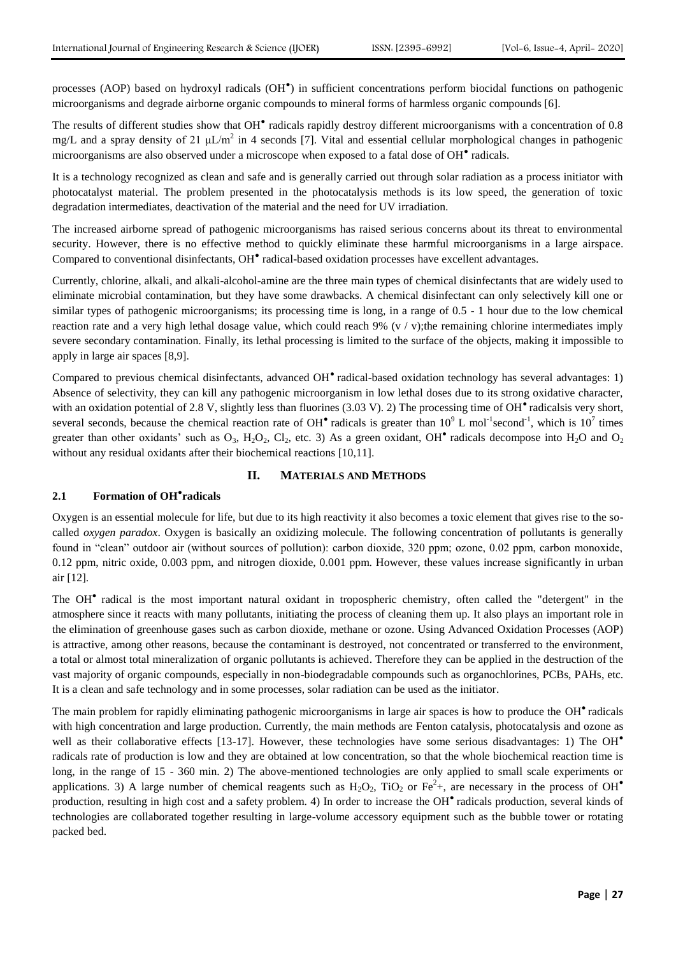processes (AOP) based on hydroxyl radicals (OH<sup>®</sup>) in sufficient concentrations perform biocidal functions on pathogenic microorganisms and degrade airborne organic compounds to mineral forms of harmless organic compounds [6].

The results of different studies show that OH<sup>®</sup> radicals rapidly destroy different microorganisms with a concentration of 0.8 mg/L and a spray density of 21  $\mu L/m^2$  in 4 seconds [7]. Vital and essential cellular morphological changes in pathogenic microorganisms are also observed under a microscope when exposed to a fatal dose of OH<sup>®</sup> radicals.

It is a technology recognized as clean and safe and is generally carried out through solar radiation as a process initiator with photocatalyst material. The problem presented in the photocatalysis methods is its low speed, the generation of toxic degradation intermediates, deactivation of the material and the need for UV irradiation.

The increased airborne spread of pathogenic microorganisms has raised serious concerns about its threat to environmental security. However, there is no effective method to quickly eliminate these harmful microorganisms in a large airspace. Compared to conventional disinfectants, OH<sup>®</sup> radical-based oxidation processes have excellent advantages.

Currently, chlorine, alkali, and alkali-alcohol-amine are the three main types of chemical disinfectants that are widely used to eliminate microbial contamination, but they have some drawbacks. A chemical disinfectant can only selectively kill one or similar types of pathogenic microorganisms; its processing time is long, in a range of 0.5 - 1 hour due to the low chemical reaction rate and a very high lethal dosage value, which could reach  $9\%$  (v / v);the remaining chlorine intermediates imply severe secondary contamination. Finally, its lethal processing is limited to the surface of the objects, making it impossible to apply in large air spaces [8,9].

Compared to previous chemical disinfectants, advanced OH<sup>•</sup> radical-based oxidation technology has several advantages: 1) Absence of selectivity, they can kill any pathogenic microorganism in low lethal doses due to its strong oxidative character, with an oxidation potential of 2.8 V, slightly less than fluorines (3.03 V). 2) The processing time of OH<sup>•</sup> radicalsis very short, several seconds, because the chemical reaction rate of OH<sup>•</sup> radicals is greater than  $10^9$  L mol<sup>-1</sup>second<sup>-1</sup>, which is  $10^7$  times greater than other oxidants' such as  $O_3$ , H<sub>2</sub>O<sub>2</sub>, Cl<sub>2</sub>, etc. 3) As a green oxidant, OH<sup>•</sup> radicals decompose into H<sub>2</sub>O and O<sub>2</sub> without any residual oxidants after their biochemical reactions [10,11].

### **II. MATERIALS AND METHODS**

## **2.1 Formation of OH● radicals**

Oxygen is an essential molecule for life, but due to its high reactivity it also becomes a toxic element that gives rise to the socalled *oxygen paradox*. Oxygen is basically an oxidizing molecule. The following concentration of pollutants is generally found in "clean" outdoor air (without sources of pollution): carbon dioxide, 320 ppm; ozone, 0.02 ppm, carbon monoxide, 0.12 ppm, nitric oxide, 0.003 ppm, and nitrogen dioxide, 0.001 ppm. However, these values increase significantly in urban air [12].

The OH● radical is the most important natural oxidant in tropospheric chemistry, often called the "detergent" in the atmosphere since it reacts with many pollutants, initiating the process of cleaning them up. It also plays an important role in the elimination of greenhouse gases such as carbon dioxide, methane or ozone. Using Advanced Oxidation Processes (AOP) is attractive, among other reasons, because the contaminant is destroyed, not concentrated or transferred to the environment, a total or almost total mineralization of organic pollutants is achieved. Therefore they can be applied in the destruction of the vast majority of organic compounds, especially in non-biodegradable compounds such as organochlorines, PCBs, PAHs, etc. It is a clean and safe technology and in some processes, solar radiation can be used as the initiator.

The main problem for rapidly eliminating pathogenic microorganisms in large air spaces is how to produce the OH<sup>•</sup> radicals with high concentration and large production. Currently, the main methods are Fenton catalysis, photocatalysis and ozone as well as their collaborative effects [13-17]. However, these technologies have some serious disadvantages: 1) The  $OH<sup>•</sup>$ radicals rate of production is low and they are obtained at low concentration, so that the whole biochemical reaction time is long, in the range of 15 - 360 min. 2) The above-mentioned technologies are only applied to small scale experiments or applications. 3) A large number of chemical reagents such as  $H_2O_2$ , TiO<sub>2</sub> or Fe<sup>2</sup>+, are necessary in the process of OH<sup>•</sup> production, resulting in high cost and a safety problem. 4) In order to increase the OH<sup>•</sup> radicals production, several kinds of technologies are collaborated together resulting in large-volume accessory equipment such as the bubble tower or rotating packed bed.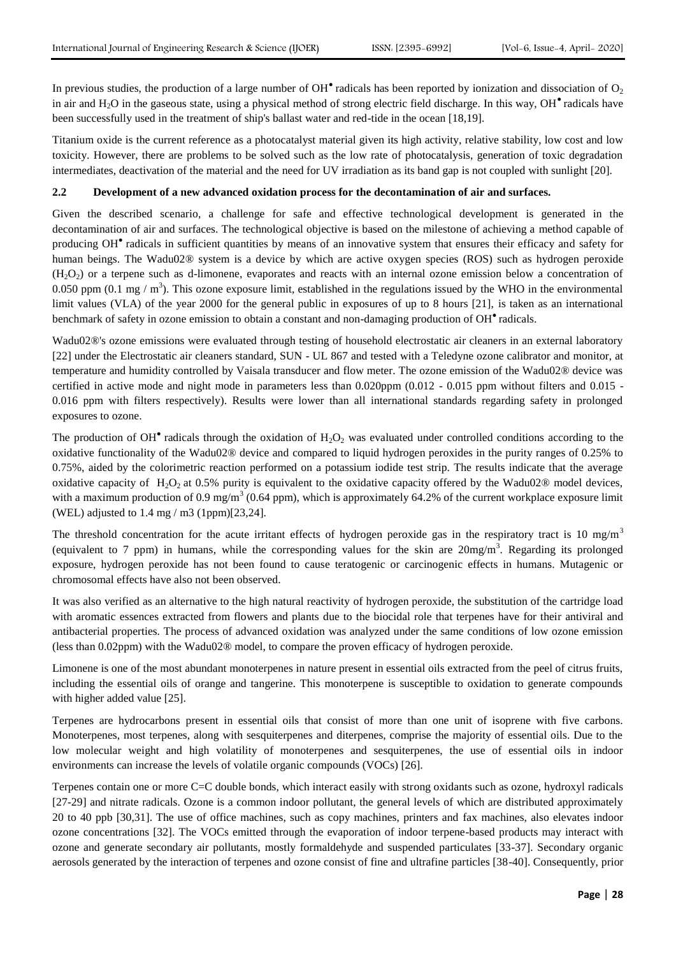In previous studies, the production of a large number of  $OH^{\bullet}$  radicals has been reported by ionization and dissociation of  $O_2$ in air and H2O in the gaseous state, using a physical method of strong electric field discharge. In this way, OH● radicals have been successfully used in the treatment of ship's ballast water and red-tide in the ocean [18,19].

Titanium oxide is the current reference as a photocatalyst material given its high activity, relative stability, low cost and low toxicity. However, there are problems to be solved such as the low rate of photocatalysis, generation of toxic degradation intermediates, deactivation of the material and the need for UV irradiation as its band gap is not coupled with sunlight [20].

#### **2.2 Development of a new advanced oxidation process for the decontamination of air and surfaces.**

Given the described scenario, a challenge for safe and effective technological development is generated in the decontamination of air and surfaces. The technological objective is based on the milestone of achieving a method capable of producing OH<sup>•</sup> radicals in sufficient quantities by means of an innovative system that ensures their efficacy and safety for human beings. The Wadu02® system is a device by which are active oxygen species (ROS) such as hydrogen peroxide  $(H<sub>2</sub>O<sub>2</sub>)$  or a terpene such as d-limonene, evaporates and reacts with an internal ozone emission below a concentration of 0.050 ppm (0.1 mg /  $m<sup>3</sup>$ ). This ozone exposure limit, established in the regulations issued by the WHO in the environmental limit values (VLA) of the year 2000 for the general public in exposures of up to 8 hours [21], is taken as an international benchmark of safety in ozone emission to obtain a constant and non-damaging production of OH<sup>•</sup> radicals.

Wadu02®'s ozone emissions were evaluated through testing of household electrostatic air cleaners in an external laboratory [22] under the Electrostatic air cleaners standard, SUN - UL 867 and tested with a Teledyne ozone calibrator and monitor, at temperature and humidity controlled by Vaisala transducer and flow meter. The ozone emission of the Wadu02® device was certified in active mode and night mode in parameters less than 0.020ppm (0.012 - 0.015 ppm without filters and 0.015 -0.016 ppm with filters respectively). Results were lower than all international standards regarding safety in prolonged exposures to ozone.

The production of OH $^{\bullet}$  radicals through the oxidation of  $H_2O_2$  was evaluated under controlled conditions according to the oxidative functionality of the Wadu02® device and compared to liquid hydrogen peroxides in the purity ranges of 0.25% to 0.75%, aided by the colorimetric reaction performed on a potassium iodide test strip. The results indicate that the average oxidative capacity of  $H_2O_2$  at 0.5% purity is equivalent to the oxidative capacity offered by the Wadu02® model devices, with a maximum production of 0.9 mg/m<sup>3</sup> (0.64 ppm), which is approximately 64.2% of the current workplace exposure limit (WEL) adjusted to 1.4 mg / m3 (1ppm)[23,24].

The threshold concentration for the acute irritant effects of hydrogen peroxide gas in the respiratory tract is 10 mg/m<sup>3</sup> (equivalent to 7 ppm) in humans, while the corresponding values for the skin are  $20mg/m<sup>3</sup>$ . Regarding its prolonged exposure, hydrogen peroxide has not been found to cause teratogenic or carcinogenic effects in humans. Mutagenic or chromosomal effects have also not been observed.

It was also verified as an alternative to the high natural reactivity of hydrogen peroxide, the substitution of the cartridge load with aromatic essences extracted from flowers and plants due to the biocidal role that terpenes have for their antiviral and antibacterial properties. The process of advanced oxidation was analyzed under the same conditions of low ozone emission (less than 0.02ppm) with the Wadu02® model, to compare the proven efficacy of hydrogen peroxide.

Limonene is one of the most abundant monoterpenes in nature present in essential oils extracted from the peel of citrus fruits, including the essential oils of orange and tangerine. This monoterpene is susceptible to oxidation to generate compounds with higher added value [25].

Terpenes are hydrocarbons present in essential oils that consist of more than one unit of isoprene with five carbons. Monoterpenes, most terpenes, along with sesquiterpenes and diterpenes, comprise the majority of essential oils. Due to the low molecular weight and high volatility of monoterpenes and sesquiterpenes, the use of essential oils in indoor environments can increase the levels of volatile organic compounds (VOCs) [26].

Terpenes contain one or more C=C double bonds, which interact easily with strong oxidants such as ozone, hydroxyl radicals [27-29] and nitrate radicals. Ozone is a common indoor pollutant, the general levels of which are distributed approximately 20 to 40 ppb [30,31]. The use of office machines, such as copy machines, printers and fax machines, also elevates indoor ozone concentrations [32]. The VOCs emitted through the evaporation of indoor terpene-based products may interact with ozone and generate secondary air pollutants, mostly formaldehyde and suspended particulates [33-37]. Secondary organic aerosols generated by the interaction of terpenes and ozone consist of fine and ultrafine particles [38-40]. Consequently, prior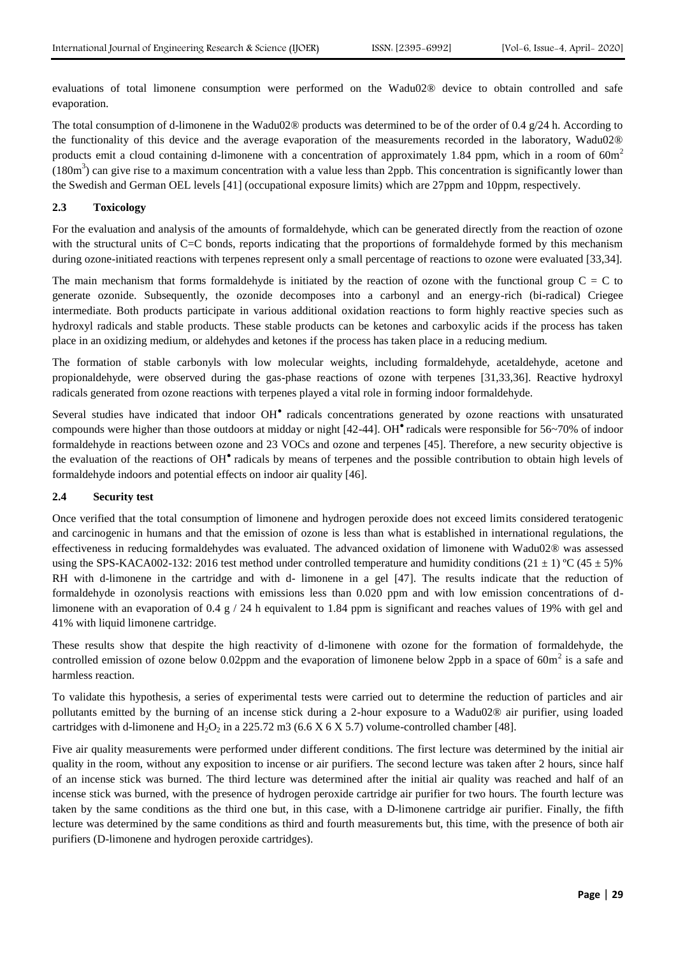evaluations of total limonene consumption were performed on the Wadu02® device to obtain controlled and safe evaporation.

The total consumption of d-limonene in the Wadu02<sup>®</sup> products was determined to be of the order of 0.4  $g/24$  h. According to the functionality of this device and the average evaporation of the measurements recorded in the laboratory, Wadu02® products emit a cloud containing d-limonene with a concentration of approximately 1.84 ppm, which in a room of  $60m<sup>2</sup>$  $(180m<sup>3</sup>)$  can give rise to a maximum concentration with a value less than 2ppb. This concentration is significantly lower than the Swedish and German OEL levels [41] (occupational exposure limits) which are 27ppm and 10ppm, respectively.

### **2.3 Toxicology**

For the evaluation and analysis of the amounts of formaldehyde, which can be generated directly from the reaction of ozone with the structural units of C=C bonds, reports indicating that the proportions of formaldehyde formed by this mechanism during ozone-initiated reactions with terpenes represent only a small percentage of reactions to ozone were evaluated [33,34].

The main mechanism that forms formaldehyde is initiated by the reaction of ozone with the functional group  $C = C$  to generate ozonide. Subsequently, the ozonide decomposes into a carbonyl and an energy-rich (bi-radical) Criegee intermediate. Both products participate in various additional oxidation reactions to form highly reactive species such as hydroxyl radicals and stable products. These stable products can be ketones and carboxylic acids if the process has taken place in an oxidizing medium, or aldehydes and ketones if the process has taken place in a reducing medium.

The formation of stable carbonyls with low molecular weights, including formaldehyde, acetaldehyde, acetone and propionaldehyde, were observed during the gas-phase reactions of ozone with terpenes [31,33,36]. Reactive hydroxyl radicals generated from ozone reactions with terpenes played a vital role in forming indoor formaldehyde.

Several studies have indicated that indoor OH<sup>•</sup> radicals concentrations generated by ozone reactions with unsaturated compounds were higher than those outdoors at midday or night [42-44]. OH<sup>•</sup> radicals were responsible for 56~70% of indoor formaldehyde in reactions between ozone and 23 VOCs and ozone and terpenes [45]. Therefore, a new security objective is the evaluation of the reactions of OH<sup>•</sup> radicals by means of terpenes and the possible contribution to obtain high levels of formaldehyde indoors and potential effects on indoor air quality [46].

#### **2.4 Security test**

Once verified that the total consumption of limonene and hydrogen peroxide does not exceed limits considered teratogenic and carcinogenic in humans and that the emission of ozone is less than what is established in international regulations, the effectiveness in reducing formaldehydes was evaluated. The advanced oxidation of limonene with Wadu02® was assessed using the SPS-KACA002-132: 2016 test method under controlled temperature and humidity conditions (21  $\pm$  1) °C (45  $\pm$  5)% RH with d-limonene in the cartridge and with d- limonene in a gel [47]. The results indicate that the reduction of formaldehyde in ozonolysis reactions with emissions less than 0.020 ppm and with low emission concentrations of dlimonene with an evaporation of 0.4 g / 24 h equivalent to 1.84 ppm is significant and reaches values of 19% with gel and 41% with liquid limonene cartridge.

These results show that despite the high reactivity of d-limonene with ozone for the formation of formaldehyde, the controlled emission of ozone below 0.02ppm and the evaporation of limonene below 2ppb in a space of  $60m^2$  is a safe and harmless reaction.

To validate this hypothesis, a series of experimental tests were carried out to determine the reduction of particles and air pollutants emitted by the burning of an incense stick during a 2-hour exposure to a Wadu02® air purifier, using loaded cartridges with d-limonene and  $H_2O_2$  in a 225.72 m3 (6.6 X 6 X 5.7) volume-controlled chamber [48].

Five air quality measurements were performed under different conditions. The first lecture was determined by the initial air quality in the room, without any exposition to incense or air purifiers. The second lecture was taken after 2 hours, since half of an incense stick was burned. The third lecture was determined after the initial air quality was reached and half of an incense stick was burned, with the presence of hydrogen peroxide cartridge air purifier for two hours. The fourth lecture was taken by the same conditions as the third one but, in this case, with a D-limonene cartridge air purifier. Finally, the fifth lecture was determined by the same conditions as third and fourth measurements but, this time, with the presence of both air purifiers (D-limonene and hydrogen peroxide cartridges).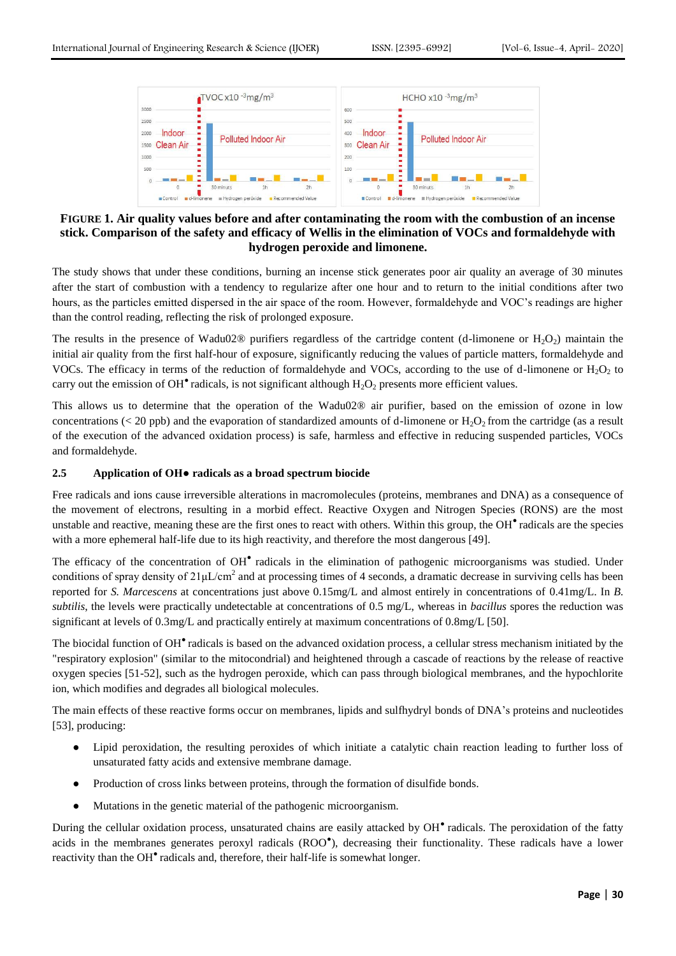

## **FIGURE 1. Air quality values before and after contaminating the room with the combustion of an incense stick. Comparison of the safety and efficacy of Wellis in the elimination of VOCs and formaldehyde with hydrogen peroxide and limonene.**

The study shows that under these conditions, burning an incense stick generates poor air quality an average of 30 minutes after the start of combustion with a tendency to regularize after one hour and to return to the initial conditions after two hours, as the particles emitted dispersed in the air space of the room. However, formaldehyde and VOC's readings are higher than the control reading, reflecting the risk of prolonged exposure.

The results in the presence of Wadu02® purifiers regardless of the cartridge content (d-limonene or  $H_2O_2$ ) maintain the initial air quality from the first half-hour of exposure, significantly reducing the values of particle matters, formaldehyde and VOCs. The efficacy in terms of the reduction of formaldehyde and VOCs, according to the use of d-limonene or  $H_2O_2$  to carry out the emission of OH $^{\bullet}$  radicals, is not significant although  $H_2O_2$  presents more efficient values.

This allows us to determine that the operation of the Wadu02® air purifier, based on the emission of ozone in low concentrations ( $\lt 20$  ppb) and the evaporation of standardized amounts of d-limonene or H<sub>2</sub>O<sub>2</sub> from the cartridge (as a result of the execution of the advanced oxidation process) is safe, harmless and effective in reducing suspended particles, VOCs and formaldehyde.

### **2.5 Application of OH● radicals as a broad spectrum biocide**

Free radicals and ions cause irreversible alterations in macromolecules (proteins, membranes and DNA) as a consequence of the movement of electrons, resulting in a morbid effect. Reactive Oxygen and Nitrogen Species (RONS) are the most unstable and reactive, meaning these are the first ones to react with others. Within this group, the OH<sup>•</sup> radicals are the species with a more ephemeral half-life due to its high reactivity, and therefore the most dangerous [49].

The efficacy of the concentration of OH<sup>•</sup> radicals in the elimination of pathogenic microorganisms was studied. Under conditions of spray density of  $21 \mu L/cm^2$  and at processing times of 4 seconds, a dramatic decrease in surviving cells has been reported for *S. Marcescens* at concentrations just above 0.15mg/L and almost entirely in concentrations of 0.41mg/L. In *B. subtilis*, the levels were practically undetectable at concentrations of 0.5 mg/L, whereas in *bacillus* spores the reduction was significant at levels of 0.3mg/L and practically entirely at maximum concentrations of 0.8mg/L [50].

The biocidal function of OH<sup>•</sup> radicals is based on the advanced oxidation process, a cellular stress mechanism initiated by the "respiratory explosion" (similar to the mitocondrial) and heightened through a cascade of reactions by the release of reactive oxygen species [51-52], such as the hydrogen peroxide, which can pass through biological membranes, and the hypochlorite ion, which modifies and degrades all biological molecules.

The main effects of these reactive forms occur on membranes, lipids and sulfhydryl bonds of DNA's proteins and nucleotides [53], producing:

- Lipid peroxidation, the resulting peroxides of which initiate a catalytic chain reaction leading to further loss of unsaturated fatty acids and extensive membrane damage.
- Production of cross links between proteins, through the formation of disulfide bonds.
- Mutations in the genetic material of the pathogenic microorganism.

During the cellular oxidation process, unsaturated chains are easily attacked by OH<sup>•</sup> radicals. The peroxidation of the fatty acids in the membranes generates peroxyl radicals (ROO<sup>\*</sup>), decreasing their functionality. These radicals have a lower reactivity than the OH<sup>•</sup> radicals and, therefore, their half-life is somewhat longer.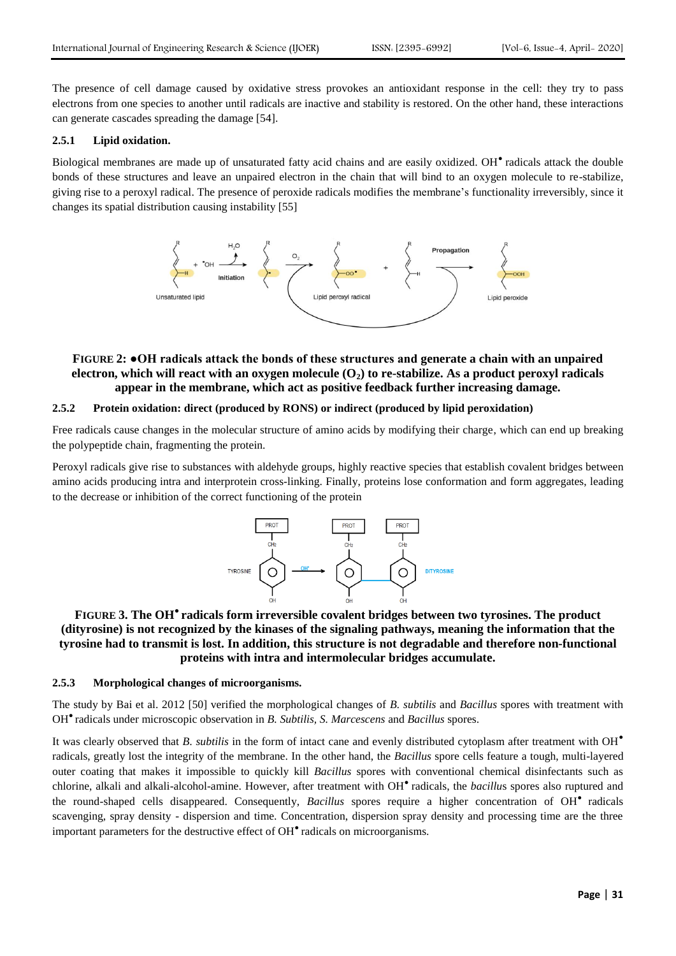The presence of cell damage caused by oxidative stress provokes an antioxidant response in the cell: they try to pass electrons from one species to another until radicals are inactive and stability is restored. On the other hand, these interactions can generate cascades spreading the damage [54].

#### **2.5.1 Lipid oxidation.**

Biological membranes are made up of unsaturated fatty acid chains and are easily oxidized. OH<sup>•</sup> radicals attack the double bonds of these structures and leave an unpaired electron in the chain that will bind to an oxygen molecule to re-stabilize, giving rise to a peroxyl radical. The presence of peroxide radicals modifies the membrane's functionality irreversibly, since it changes its spatial distribution causing instability [55]



## **FIGURE 2: ●OH radicals attack the bonds of these structures and generate a chain with an unpaired electron, which will react with an oxygen molecule (O2) to re-stabilize. As a product peroxyl radicals appear in the membrane, which act as positive feedback further increasing damage.**

#### **2.5.2 Protein oxidation: direct (produced by RONS) or indirect (produced by lipid peroxidation)**

Free radicals cause changes in the molecular structure of amino acids by modifying their charge, which can end up breaking the polypeptide chain, fragmenting the protein.

Peroxyl radicals give rise to substances with aldehyde groups, highly reactive species that establish covalent bridges between amino acids producing intra and interprotein cross-linking. Finally, proteins lose conformation and form aggregates, leading to the decrease or inhibition of the correct functioning of the protein



**FIGURE 3. The OH● radicals form irreversible covalent bridges between two tyrosines. The product (dityrosine) is not recognized by the kinases of the signaling pathways, meaning the information that the tyrosine had to transmit is lost. In addition, this structure is not degradable and therefore non-functional proteins with intra and intermolecular bridges accumulate.**

## **2.5.3 Morphological changes of microorganisms.**

The study by Bai et al. 2012 [50] verified the morphological changes of *B. subtilis* and *Bacillus* spores with treatment with OH● radicals under microscopic observation in *B. Subtilis, S. Marcescens* and *Bacillus* spores.

It was clearly observed that *B. subtilis* in the form of intact cane and evenly distributed cytoplasm after treatment with OH<sup></sub></sup> radicals, greatly lost the integrity of the membrane. In the other hand, the *Bacillus* spore cells feature a tough, multi-layered outer coating that makes it impossible to quickly kill *Bacillus* spores with conventional chemical disinfectants such as chlorine, alkali and alkali-alcohol-amine. However, after treatment with OH● radicals, the *bacillu*s spores also ruptured and the round-shaped cells disappeared. Consequently, *Bacillus* spores require a higher concentration of OH● radicals scavenging, spray density - dispersion and time. Concentration, dispersion spray density and processing time are the three important parameters for the destructive effect of OH● radicals on microorganisms.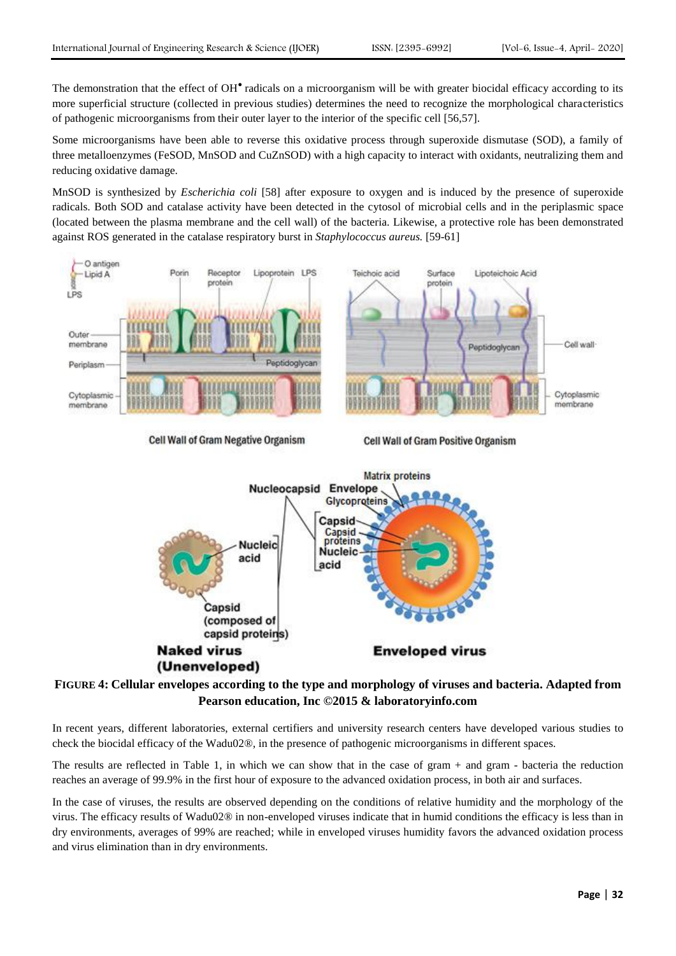The demonstration that the effect of OH<sup>•</sup> radicals on a microorganism will be with greater biocidal efficacy according to its more superficial structure (collected in previous studies) determines the need to recognize the morphological characteristics of pathogenic microorganisms from their outer layer to the interior of the specific cell [56,57].

Some microorganisms have been able to reverse this oxidative process through superoxide dismutase (SOD), a family of three metalloenzymes (FeSOD, MnSOD and CuZnSOD) with a high capacity to interact with oxidants, neutralizing them and reducing oxidative damage.

MnSOD is synthesized by *Escherichia coli* [58] after exposure to oxygen and is induced by the presence of superoxide radicals. Both SOD and catalase activity have been detected in the cytosol of microbial cells and in the periplasmic space (located between the plasma membrane and the cell wall) of the bacteria. Likewise, a protective role has been demonstrated against ROS generated in the catalase respiratory burst in *Staphylococcus aureus.* [59-61]



**Naked virus** (Unenveloped) **Enveloped virus** 

## **FIGURE 4: Cellular envelopes according to the type and morphology of viruses and bacteria. Adapted from Pearson education, Inc ©2015 & laboratoryinfo.com**

In recent years, different laboratories, external certifiers and university research centers have developed various studies to check the biocidal efficacy of the Wadu02®, in the presence of pathogenic microorganisms in different spaces.

The results are reflected in Table 1, in which we can show that in the case of gram + and gram - bacteria the reduction reaches an average of 99.9% in the first hour of exposure to the advanced oxidation process, in both air and surfaces.

In the case of viruses, the results are observed depending on the conditions of relative humidity and the morphology of the virus. The efficacy results of Wadu02® in non-enveloped viruses indicate that in humid conditions the efficacy is less than in dry environments, averages of 99% are reached; while in enveloped viruses humidity favors the advanced oxidation process and virus elimination than in dry environments.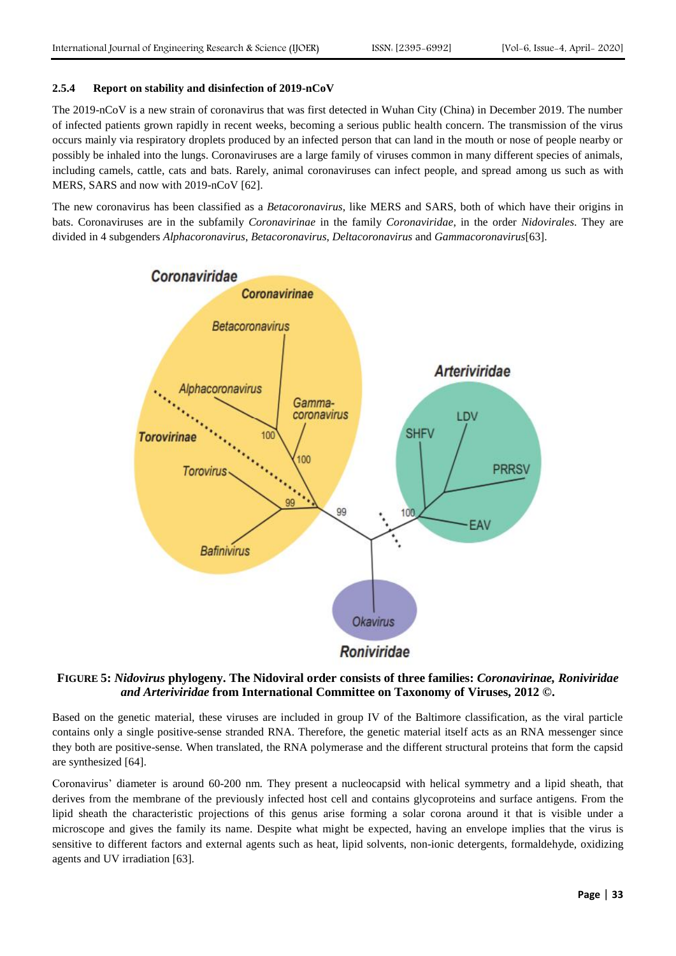## **2.5.4 Report on stability and disinfection of 2019-nCoV**

The 2019-nCoV is a new strain of coronavirus that was first detected in Wuhan City (China) in December 2019. The number of infected patients grown rapidly in recent weeks, becoming a serious public health concern. The transmission of the virus occurs mainly via respiratory droplets produced by an infected person that can land in the mouth or nose of people nearby or possibly be inhaled into the lungs. Coronaviruses are a large family of viruses common in many different species of animals, including camels, cattle, cats and bats. Rarely, animal coronaviruses can infect people, and spread among us such as with MERS, SARS and now with 2019-nCoV [62].

The new coronavirus has been classified as a *Betacoronavirus*, like MERS and SARS, both of which have their origins in bats. Coronaviruses are in the subfamily *Coronavirinae* in the family *Coronaviridae*, in the order *Nidovirales*. They are divided in 4 subgenders *Alphacoronavirus*, *Betacoronavirus*, *Deltacoronavirus* and *Gammacoronavirus*[63].



## **FIGURE 5:** *Nidovirus* **phylogeny. The Nidoviral order consists of three families:** *Coronavirinae, Roniviridae and Arteriviridae* **from International Committee on Taxonomy of Viruses, 2012 ©.**

Based on the genetic material, these viruses are included in group IV of the Baltimore classification, as the viral particle contains only a single positive-sense stranded RNA. Therefore, the genetic material itself acts as an RNA messenger since they both are positive-sense. When translated, the RNA polymerase and the different structural proteins that form the capsid are synthesized [64].

Coronavirus' diameter is around 60-200 nm. They present a nucleocapsid with helical symmetry and a lipid sheath, that derives from the membrane of the previously infected host cell and contains glycoproteins and surface antigens. From the lipid sheath the characteristic projections of this genus arise forming a solar corona around it that is visible under a microscope and gives the family its name. Despite what might be expected, having an envelope implies that the virus is sensitive to different factors and external agents such as heat, lipid solvents, non-ionic detergents, formaldehyde, oxidizing agents and UV irradiation [63].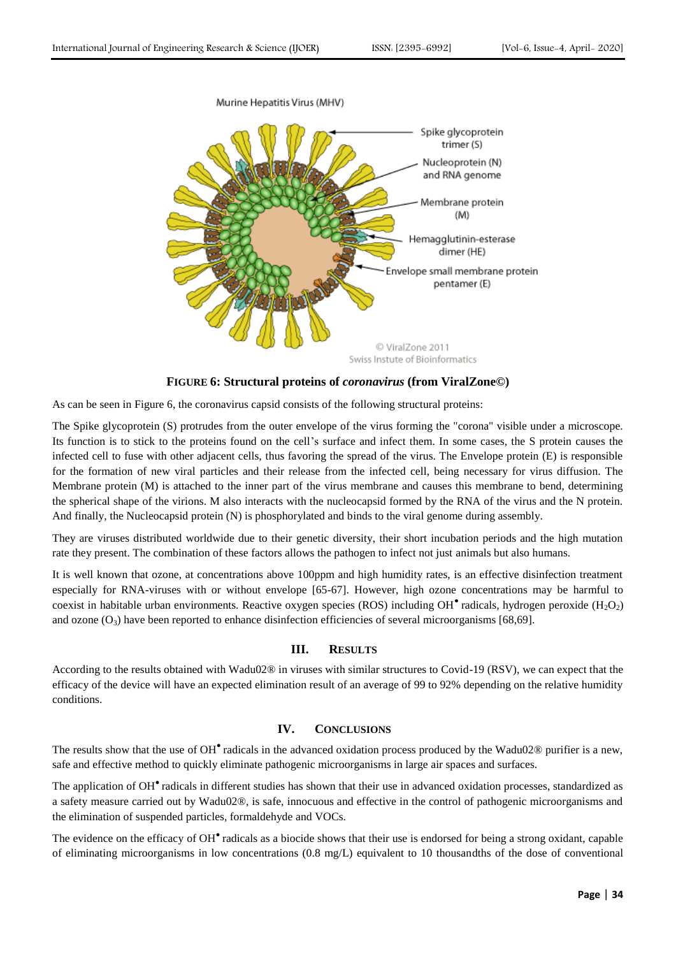

**FIGURE 6: Structural proteins of** *coronavirus* **(from ViralZone©)**

As can be seen in Figure 6, the coronavirus capsid consists of the following structural proteins:

The Spike glycoprotein (S) protrudes from the outer envelope of the virus forming the "corona" visible under a microscope. Its function is to stick to the proteins found on the cell's surface and infect them. In some cases, the S protein causes the infected cell to fuse with other adjacent cells, thus favoring the spread of the virus. The Envelope protein (E) is responsible for the formation of new viral particles and their release from the infected cell, being necessary for virus diffusion. The Membrane protein (M) is attached to the inner part of the virus membrane and causes this membrane to bend, determining the spherical shape of the virions. M also interacts with the nucleocapsid formed by the RNA of the virus and the N protein. And finally, the Nucleocapsid protein (N) is phosphorylated and binds to the viral genome during assembly.

They are viruses distributed worldwide due to their genetic diversity, their short incubation periods and the high mutation rate they present. The combination of these factors allows the pathogen to infect not just animals but also humans.

It is well known that ozone, at concentrations above 100ppm and high humidity rates, is an effective disinfection treatment especially for RNA-viruses with or without envelope [65-67]. However, high ozone concentrations may be harmful to coexist in habitable urban environments. Reactive oxygen species (ROS) including OH $^{\bullet}$  radicals, hydrogen peroxide (H<sub>2</sub>O<sub>2</sub>) and ozone  $(O_3)$  have been reported to enhance disinfection efficiencies of several microorganisms [68,69].

## **III. RESULTS**

According to the results obtained with Wadu02® in viruses with similar structures to Covid-19 (RSV), we can expect that the efficacy of the device will have an expected elimination result of an average of 99 to 92% depending on the relative humidity conditions.

## **IV. CONCLUSIONS**

The results show that the use of  $OH^{\bullet}$  radicals in the advanced oxidation process produced by the Wadu02 $\circledR$  purifier is a new, safe and effective method to quickly eliminate pathogenic microorganisms in large air spaces and surfaces.

The application of OH<sup>•</sup> radicals in different studies has shown that their use in advanced oxidation processes, standardized as a safety measure carried out by Wadu02®, is safe, innocuous and effective in the control of pathogenic microorganisms and the elimination of suspended particles, formaldehyde and VOCs.

The evidence on the efficacy of OH<sup>•</sup> radicals as a biocide shows that their use is endorsed for being a strong oxidant, capable of eliminating microorganisms in low concentrations (0.8 mg/L) equivalent to 10 thousandths of the dose of conventional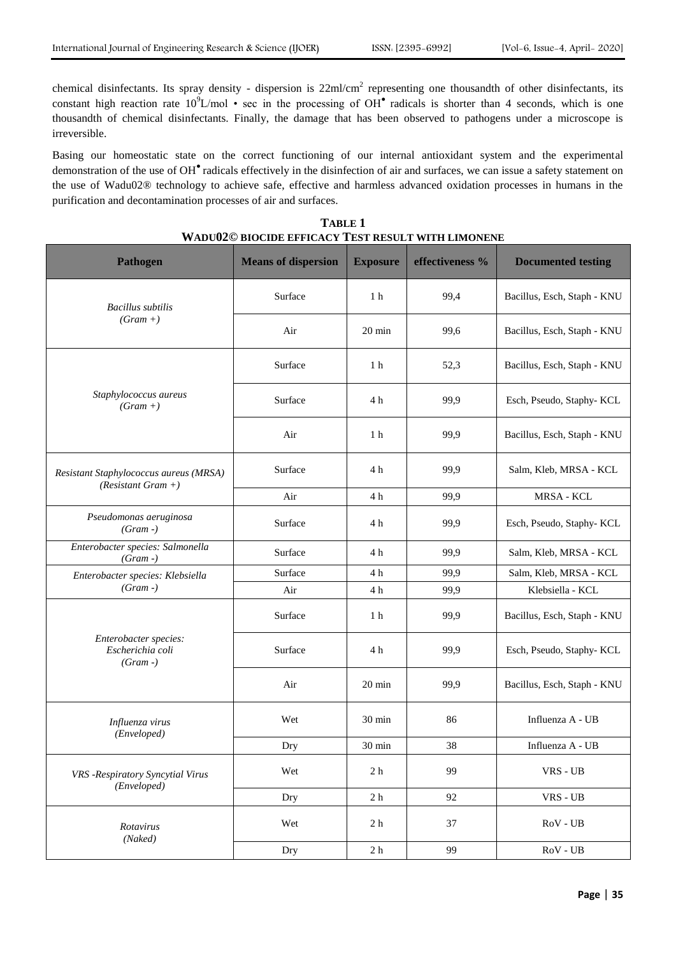chemical disinfectants. Its spray density - dispersion is  $22ml/cm^2$  representing one thousandth of other disinfectants, its constant high reaction rate  $10^9$ L/mol • sec in the processing of OH $^{\bullet}$  radicals is shorter than 4 seconds, which is one thousandth of chemical disinfectants. Finally, the damage that has been observed to pathogens under a microscope is irreversible.

Basing our homeostatic state on the correct functioning of our internal antioxidant system and the experimental demonstration of the use of OH● radicals effectively in the disinfection of air and surfaces, we can issue a safety statement on the use of Wadu02® technology to achieve safe, effective and harmless advanced oxidation processes in humans in the purification and decontamination processes of air and surfaces.

| <b>Pathogen</b>                                                | <b>Means of dispersion</b> | <b>Exposure</b>  | effectiveness % | <b>Documented testing</b>   |
|----------------------------------------------------------------|----------------------------|------------------|-----------------|-----------------------------|
| <b>Bacillus</b> subtilis<br>$(Gram +)$                         | Surface                    | 1 <sub>h</sub>   | 99,4            | Bacillus, Esch, Staph - KNU |
|                                                                | Air                        | 20 min           | 99,6            | Bacillus, Esch, Staph - KNU |
| Staphylococcus aureus<br>$(Gram +)$                            | Surface                    | 1 <sub>h</sub>   | 52,3            | Bacillus, Esch, Staph - KNU |
|                                                                | Surface                    | 4 h              | 99,9            | Esch, Pseudo, Staphy- KCL   |
|                                                                | Air                        | 1 <sub>h</sub>   | 99,9            | Bacillus, Esch, Staph - KNU |
| Resistant Staphylococcus aureus (MRSA)<br>$(Resistant Gram +)$ | Surface                    | 4 h              | 99,9            | Salm, Kleb, MRSA - KCL      |
|                                                                | Air                        | 4 h              | 99,9            | MRSA - KCL                  |
| Pseudomonas aeruginosa<br>$(Gram -)$                           | Surface                    | 4 h              | 99,9            | Esch, Pseudo, Staphy- KCL   |
| Enterobacter species: Salmonella<br>$(Gram -)$                 | Surface                    | 4 h              | 99,9            | Salm, Kleb, MRSA - KCL      |
| Enterobacter species: Klebsiella<br>$(Gram -)$                 | Surface                    | 4 h              | 99,9            | Salm, Kleb, MRSA - KCL      |
|                                                                | Air                        | 4 h              | 99,9            | Klebsiella - KCL            |
| Enterobacter species:<br>Escherichia coli<br>$(Gram -)$        | Surface                    | 1 <sub>h</sub>   | 99,9            | Bacillus, Esch, Staph - KNU |
|                                                                | Surface                    | 4 h              | 99,9            | Esch, Pseudo, Staphy- KCL   |
|                                                                | Air                        | $20 \text{ min}$ | 99,9            | Bacillus, Esch, Staph - KNU |
| Influenza virus<br>(Enveloped)                                 | Wet                        | 30 min           | 86              | Influenza A - UB            |
|                                                                | Dry                        | $30 \text{ min}$ | 38              | Influenza A - UB            |
| VRS -Respiratory Syncytial Virus<br>(Enveloped)                | Wet                        | 2 <sub>h</sub>   | 99              | VRS - UB                    |
|                                                                | Dry                        | 2 <sub>h</sub>   | 92              | VRS - UB                    |
| Rotavirus<br>(Naked)                                           | Wet                        | 2 <sub>h</sub>   | 37              | RoV - UB                    |
|                                                                | Dry                        | 2 <sub>h</sub>   | 99              | RoV - UB                    |

**TABLE 1 WADU02© BIOCIDE EFFICACY TEST RESULT WITH LIMONENE**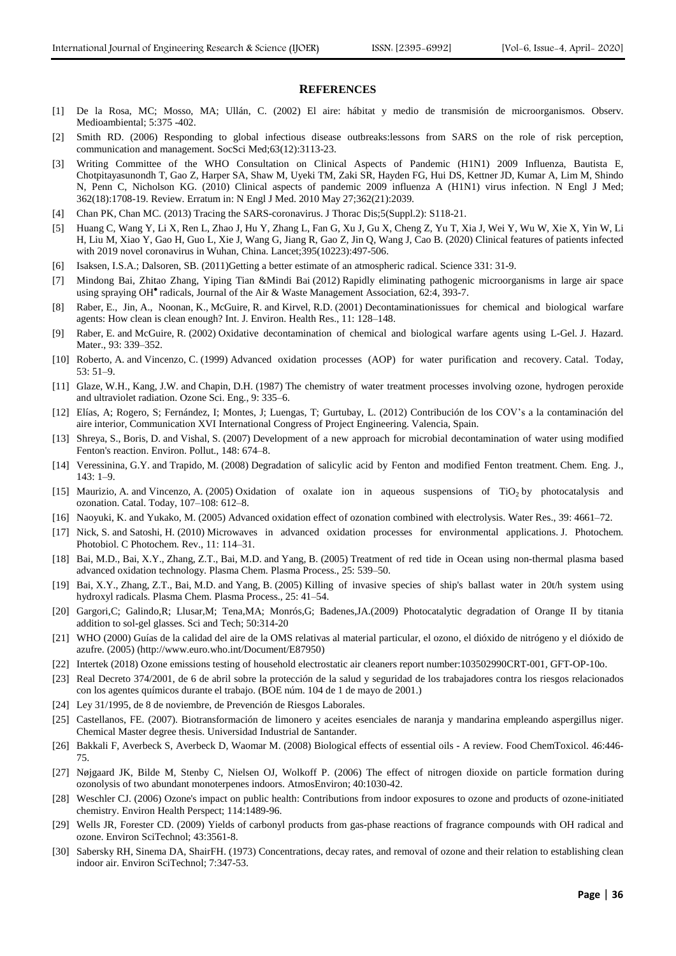#### **REFERENCES**

- [1] De la Rosa, MC; Mosso, MA; Ullán, C. (2002) El aire: hábitat y medio de transmisión de microorganismos. Observ. Medioambiental; 5:375 -402.
- [2] Smith RD. (2006) Responding to global infectious disease outbreaks:lessons from SARS on the role of risk perception, communication and management. SocSci Med;63(12):3113-23.
- [3] Writing Committee of the WHO Consultation on Clinical Aspects of Pandemic (H1N1) 2009 Influenza, Bautista E, Chotpitayasunondh T, Gao Z, Harper SA, Shaw M, Uyeki TM, Zaki SR, Hayden FG, Hui DS, Kettner JD, Kumar A, Lim M, Shindo N, Penn C, Nicholson KG. (2010) Clinical aspects of pandemic 2009 influenza A (H1N1) virus infection. N Engl J Med; 362(18):1708-19. Review. Erratum in: N Engl J Med. 2010 May 27;362(21):2039.
- [4] Chan PK, Chan MC. (2013) Tracing the SARS-coronavirus. J Thorac Dis;5(Suppl.2): S118-21.
- [5] Huang C, Wang Y, Li X, Ren L, Zhao J, Hu Y, Zhang L, Fan G, Xu J, Gu X, Cheng Z, Yu T, Xia J, Wei Y, Wu W, Xie X, Yin W, Li H, Liu M, Xiao Y, Gao H, Guo L, Xie J, Wang G, Jiang R, Gao Z, Jin Q, Wang J, Cao B. (2020) Clinical features of patients infected with 2019 novel coronavirus in Wuhan, China. Lancet;395(10223):497-506.
- [6] Isaksen, I.S.A.; Dalsoren, SB. (2011)Getting a better estimate of an atmospheric radical. Science 331: 31-9.
- [7] Mindong Bai, Zhitao Zhang, Yiping Tian &Mindi Bai (2012) Rapidly eliminating pathogenic microorganisms in large air space using spraying OH<sup>®</sup> radicals, Journal of the Air & Waste Management Association, 62:4, 393-7.
- [8] Raber, E., Jin, A., Noonan, K., McGuire, R. and Kirvel, R.D. (2001) Decontaminationissues for chemical and biological warfare agents: How clean is clean enough? Int. J. Environ. Health Res., 11: 128–148.
- Raber, E. and McGuire, R. (2002) Oxidative decontamination of chemical and biological warfare agents using L-Gel. J. Hazard. Mater., 93: 339–352.
- [10] Roberto, A. and Vincenzo, C. (1999) Advanced oxidation processes (AOP) for water purification and recovery. Catal. Today, 53: 51–9.
- [11] Glaze, W.H., Kang, J.W. and Chapin, D.H. (1987) The chemistry of water treatment processes involving ozone, hydrogen peroxide and ultraviolet radiation. Ozone Sci. Eng., 9: 335–6.
- [12] Elías, A; Rogero, S; Fernández, I; Montes, J; Luengas, T; Gurtubay, L. (2012) Contribución de los COV's a la contaminación del aire interior, Communication XVI International Congress of Project Engineering. Valencia, Spain.
- [13] Shreya, S., Boris, D. and Vishal, S. (2007) Development of a new approach for microbial decontamination of water using modified Fenton's reaction. Environ. Pollut., 148: 674–8.
- [14] Veressinina, G.Y. and Trapido, M. (2008) Degradation of salicylic acid by Fenton and modified Fenton treatment. Chem. Eng. J., 143: 1–9.
- [15] Maurizio, A. and Vincenzo, A. (2005) Oxidation of oxalate ion in aqueous suspensions of TiO<sub>2</sub> by photocatalysis and ozonation. Catal. Today, 107–108: 612–8.
- [16] Naoyuki, K. and Yukako, M. (2005) Advanced oxidation effect of ozonation combined with electrolysis. Water Res., 39: 4661–72.
- [17] Nick, S. and Satoshi, H. (2010) Microwaves in advanced oxidation processes for environmental applications. J. Photochem. Photobiol. C Photochem. Rev., 11: 114–31.
- [18] Bai, M.D., Bai, X.Y., Zhang, Z.T., Bai, M.D. and Yang, B. (2005) Treatment of red tide in Ocean using non-thermal plasma based advanced oxidation technology. Plasma Chem. Plasma Process., 25: 539–50.
- [19] Bai, X.Y., Zhang, Z.T., Bai, M.D. and Yang, B. (2005) Killing of invasive species of ship's ballast water in 20t/h system using hydroxyl radicals. Plasma Chem. Plasma Process., 25: 41–54.
- [20] Gargori,C; Galindo,R; Llusar,M; Tena,MA; Monrós,G; Badenes,JA.(2009) Photocatalytic degradation of Orange II by titania addition to sol-gel glasses. Sci and Tech; 50:314-20
- [21] WHO (2000) Guías de la calidad del aire de la OMS relativas al material particular, el ozono, el dióxido de nitrógeno y el dióxido de azufre. (2005) [\(http://www.euro.who.int/Document/E87950\)](http://www.euro.who.int/Document/E87950)
- [22] Intertek (2018) Ozone emissions testing of household electrostatic air cleaners report number:103502990CRT-001, GFT-OP-10o.
- [23] Real Decreto [374/2001,](https://risctox.istas.net/abreenlace.asp?idenlace=1475) de 6 de abril sobre la protección de la salud y seguridad de los trabajadores contra los riesgos relacionados con los agentes químicos durante el trabajo. (BOE núm. 104 de 1 de mayo de 2001.)
- [24] Ley [31/1995,](https://risctox.istas.net/abreenlace.asp?idenlace=1474) de 8 de noviembre, de Prevención de Riesgos Laborales.
- [25] Castellanos, FE. (2007). Biotransformación de limonero y aceites esenciales de naranja y mandarina empleando aspergillus niger. Chemical Master degree thesis. Universidad Industrial de Santander.
- [26] Bakkali F, Averbeck S, Averbeck D, Waomar M. (2008) Biological effects of essential oils A review. Food ChemToxicol. 46:446- 75.
- [27] Nøjgaard JK, Bilde M, Stenby C, Nielsen OJ, Wolkoff P. (2006) The effect of nitrogen dioxide on particle formation during ozonolysis of two abundant monoterpenes indoors. AtmosEnviron; 40:1030-42.
- [28] Weschler CJ. (2006) Ozone's impact on public health: Contributions from indoor exposures to ozone and products of ozone-initiated chemistry. Environ Health Perspect; 114:1489-96.
- [29] Wells JR, Forester CD. (2009) Yields of carbonyl products from gas-phase reactions of fragrance compounds with OH radical and ozone. Environ SciTechnol; 43:3561-8.
- [30] Sabersky RH, Sinema DA, ShairFH. (1973) Concentrations, decay rates, and removal of ozone and their relation to establishing clean indoor air. Environ SciTechnol; 7:347-53.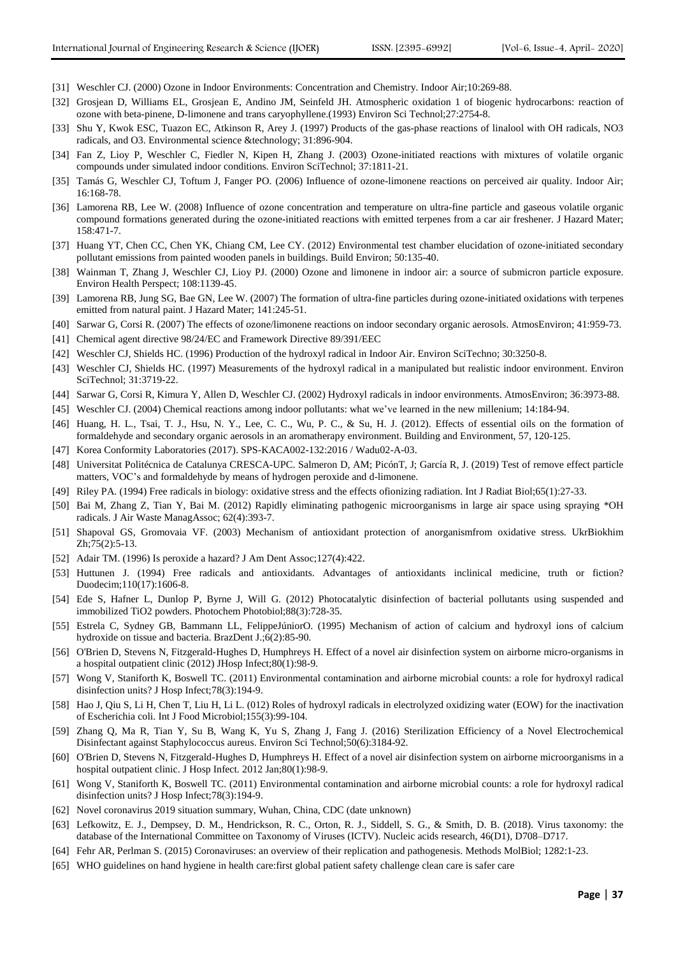- [31] Weschler CJ. (2000) Ozone in Indoor Environments: Concentration and Chemistry. Indoor Air;10:269-88.
- [32] Grosjean D, Williams EL, Grosjean E, Andino JM, Seinfeld JH. Atmospheric oxidation 1 of biogenic hydrocarbons: reaction of ozone with beta-pinene, D-limonene and trans caryophyllene.(1993) Environ Sci Technol;27:2754-8.
- [33] Shu Y, Kwok ESC, Tuazon EC, Atkinson R, Arey J. (1997) Products of the gas-phase reactions of linalool with OH radicals, NO3 radicals, and O3. Environmental science &technology; 31:896-904.
- [34] Fan Z, Lioy P, Weschler C, Fiedler N, Kipen H, Zhang J. (2003) Ozone-initiated reactions with mixtures of volatile organic compounds under simulated indoor conditions. Environ SciTechnol; 37:1811-21.
- [35] Tamás G, Weschler CJ, Toftum J, Fanger PO. (2006) Influence of ozone-limonene reactions on perceived air quality. Indoor Air; 16:168-78.
- [36] Lamorena RB, Lee W. (2008) Influence of ozone concentration and temperature on ultra-fine particle and gaseous volatile organic compound formations generated during the ozone-initiated reactions with emitted terpenes from a car air freshener. J Hazard Mater; 158:471-7.
- [37] Huang YT, Chen CC, Chen YK, Chiang CM, Lee CY. (2012) Environmental test chamber elucidation of ozone-initiated secondary pollutant emissions from painted wooden panels in buildings. Build Environ; 50:135-40.
- [38] Wainman T, Zhang J, Weschler CJ, Lioy PJ. (2000) Ozone and limonene in indoor air: a source of submicron particle exposure. Environ Health Perspect; 108:1139-45.
- [39] Lamorena RB, Jung SG, Bae GN, Lee W. (2007) The formation of ultra-fine particles during ozone-initiated oxidations with terpenes emitted from natural paint. J Hazard Mater; 141:245-51.
- [40] Sarwar G, Corsi R. (2007) The effects of ozone/limonene reactions on indoor secondary organic aerosols. AtmosEnviron; 41:959-73.
- [41] Chemical agent directive 98/24/EC and Framework Directive 89/391/EEC
- [42] Weschler CJ, Shields HC. (1996) Production of the hydroxyl radical in Indoor Air. Environ SciTechno; 30:3250-8.
- [43] Weschler CJ, Shields HC. (1997) Measurements of the hydroxyl radical in a manipulated but realistic indoor environment. Environ SciTechnol; 31:3719-22.
- [44] Sarwar G, Corsi R, Kimura Y, Allen D, Weschler CJ. (2002) Hydroxyl radicals in indoor environments. AtmosEnviron; 36:3973-88.
- [45] Weschler CJ. (2004) Chemical reactions among indoor pollutants: what we've learned in the new millenium; 14:184-94.
- [46] Huang, H. L., Tsai, T. J., Hsu, N. Y., Lee, C. C., Wu, P. C., & Su, H. J. (2012). Effects of essential oils on the formation of formaldehyde and secondary organic aerosols in an aromatherapy environment. Building and Environment, 57, 120-125.
- [47] Korea Conformity Laboratories (2017). SPS-KACA002-132:2016 / Wadu02-A-03.
- [48] Universitat Politécnica de Catalunya CRESCA-UPC. Salmeron D, AM; PicónT, J; García R, J. (2019) Test of remove effect particle matters, VOC's and formaldehyde by means of hydrogen peroxide and d-limonene.
- [49] Riley PA. (1994) Free radicals in biology: oxidative stress and the effects ofionizing radiation. Int J Radiat Biol;65(1):27-33.
- [50] Bai M, Zhang Z, Tian Y, Bai M. (2012) Rapidly eliminating pathogenic microorganisms in large air space using spraying \*OH radicals. J Air Waste ManagAssoc; 62(4):393-7.
- [51] Shapoval GS, Gromovaia VF. (2003) Mechanism of antioxidant protection of anorganismfrom oxidative stress. UkrBiokhim Zh;75(2):5-13.
- [52] Adair TM. (1996) Is peroxide a hazard? J Am Dent Assoc;127(4):422.
- [53] Huttunen J. (1994) Free radicals and antioxidants. Advantages of antioxidants inclinical medicine, truth or fiction? Duodecim;110(17):1606-8.
- [54] Ede S, Hafner L, Dunlop P, Byrne J, Will G. (2012) Photocatalytic disinfection of bacterial pollutants using suspended and immobilized TiO2 powders. Photochem Photobiol;88(3):728-35.
- [55] Estrela C, Sydney GB, Bammann LL, FelippeJúniorO. (1995) Mechanism of action of calcium and hydroxyl ions of calcium hydroxide on tissue and bacteria. BrazDent J.;6(2):85-90.
- [56] O'Brien D, Stevens N, Fitzgerald-Hughes D, Humphreys H. Effect of a novel air disinfection system on airborne micro-organisms in a hospital outpatient clinic (2012) JHosp Infect;80(1):98-9.
- [57] Wong V, Staniforth K, Boswell TC. (2011) Environmental contamination and airborne microbial counts: a role for hydroxyl radical disinfection units? J Hosp Infect;78(3):194-9.
- [58] Hao J, Qiu S, Li H, Chen T, Liu H, Li L. (012) Roles of hydroxyl radicals in electrolyzed oxidizing water (EOW) for the inactivation of Escherichia coli. Int J Food Microbiol;155(3):99-104.
- [59] Zhang Q, Ma R, Tian Y, Su B, Wang K, Yu S, Zhang J, Fang J. (2016) Sterilization Efficiency of a Novel Electrochemical Disinfectant against Staphylococcus aureus. Environ Sci Technol;50(6):3184-92.
- [60] O'Brien D, Stevens N, Fitzgerald-Hughes D, Humphreys H. Effect of a novel air disinfection system on airborne microorganisms in a hospital outpatient clinic. J Hosp Infect. 2012 Jan;80(1):98-9.
- [61] Wong V, Staniforth K, Boswell TC. (2011) Environmental contamination and airborne microbial counts: a role for hydroxyl radical disinfection units? J Hosp Infect;78(3):194-9.
- [62] Novel coronavirus 2019 situation summary, Wuhan, China, CDC (date unknown)
- [63] Lefkowitz, E. J., Dempsey, D. M., Hendrickson, R. C., Orton, R. J., Siddell, S. G., & Smith, D. B. (2018). Virus taxonomy: the database of the International Committee on Taxonomy of Viruses (ICTV). Nucleic acids research, 46(D1), D708–D717.
- [64] Fehr AR, Perlman S. (2015) Coronaviruses: an overview of their replication and pathogenesis. Methods MolBiol; 1282:1-23.
- [65] WHO guidelines on hand hygiene in health care:first global patient safety challenge clean care is safer care